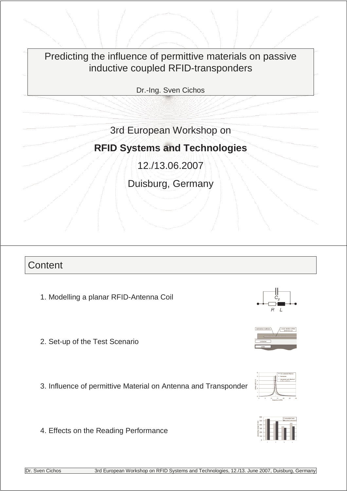Predicting the influence of permittive materials on passive inductive coupled RFID-transponders

Dr.-Ing. Sven Cichos

# 3rd European Workshop on

# **RFID Systems and Technologies**

12./13.06.2007

Duisburg, Germany

### **Content**

- 1. Modelling a planar RFID-Antenna Coil
- 2. Set-up of the Test Scenario

3. Influence of permittive Material on Antenna and Transponder

4. Effects on the Reading Performance







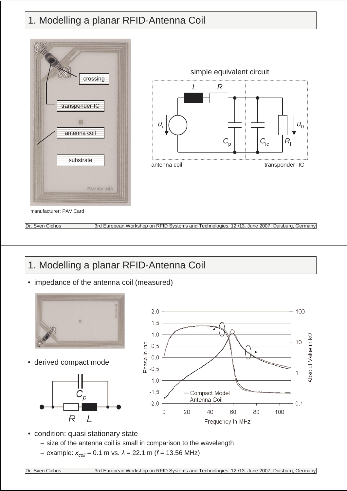# 1. Modelling a planar RFID-Antenna Coil





manufacturer: PAV Card

Dr. Sven Cichos 3rd European Workshop on RFID Systems and Technologies, 12./13. June 2007, Duisburg, Germany

# 1. Modelling a planar RFID-Antenna Coil

• impedance of the antenna coil (measured)



• derived compact model





- condition: quasi stationary state
	- size of the antenna coil is small in comparison to the wavelength
	- example:  $x_{coil} = 0.1$  m vs.  $\lambda = 22.1$  m ( $f = 13.56$  MHz)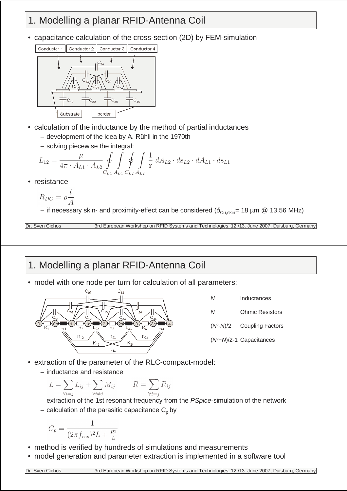## 1. Modelling a planar RFID-Antenna Coil

• capacitance calculation of the cross-section (2D) by FEM-simulation



- calculation of the inductance by the method of partial inductances
	- development of the idea by A. Rühli in the 1970th
	- solving piecewise the integral:

$$
L_{12} = \frac{\mu}{4\pi \cdot A_{L1} \cdot A_{L2}} \oint_{C_{L1}} \oint_{A_{L1}} \oint_{C_{L2}} \int_{A_{L2}} \frac{1}{r} dA_{L2} \cdot d\mathbf{s}_{L2} \cdot dA_{L1} \cdot d\mathbf{s}_{L1}
$$

• resistance

$$
R_{DC} = \rho \frac{l}{A}
$$

– if necessary skin- and proximity-effect can be considered ( $\delta_{\text{Cu,skin}}$ = 18 µm @ 13.56 MHz)

Dr. Sven Cichos 3rd European Workshop on RFID Systems and Technologies, 12./13. June 2007, Duisburg, Germany

## 1. Modelling a planar RFID-Antenna Coil

• model with one node per turn for calculation of all parameters:



| Ν | Inductances                          |
|---|--------------------------------------|
| Ν | <b>Ohmic Resistors</b>               |
|   | $(N^2-M)/2$ Coupling Factors         |
|   | (N <sup>2</sup> +N)/2-1 Capacitances |

- extraction of the parameter of the RLC-compact-model:
	- inductance and resistance

$$
L = \sum_{\forall i=j} L_{ij} + \sum_{\forall i \neq j} M_{ij} \qquad R = \sum_{\forall i=j} R_{ij}
$$

- extraction of the 1st resonant frequency from the PSpice-simulation of the network
- calculation of the parasitic capacitance  $C_p$  by

$$
C_p = \frac{1}{(2\pi f_{res})^2 L + \frac{R^2}{L}}
$$

- method is verified by hundreds of simulations and measurements
- model generation and parameter extraction is implemented in a software tool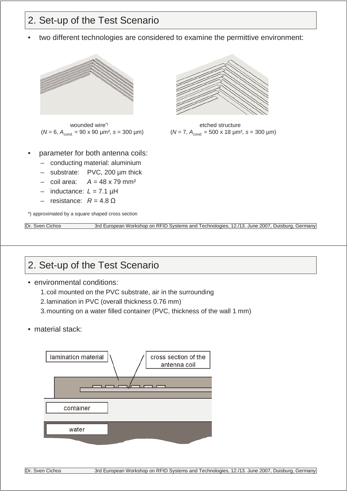## 2. Set-up of the Test Scenario

• two different technologies are considered to examine the permittive environment:



wounded wire<sup>\*</sup>  $(N = 6, A_{cond} = 90 \times 90 \text{ }\mu\text{m}^2, s = 300 \text{ }\mu\text{m})$ 

- parameter for both antenna coils:
	- conducting material: aluminium
	- substrate: PVC, 200 µm thick
	- $-$  coil area:  $A = 48 \times 79$  mm<sup>2</sup>
	- $-$  inductance:  $L = 7.1$  uH
	- $-$  resistance:  $R = 4.8$  Ω

\*) approximated by a square shaped cross section

Dr. Sven Cichos 3rd European Workshop on RFID Systems and Technologies, 12./13. June 2007, Duisburg, Germany

etched structure  $(N = 7, A_{cond.} = 500 \times 18 \text{ µm}^2, s = 300 \text{ µm})$ 

## 2. Set-up of the Test Scenario

- environmental conditions:
	- 1.coil mounted on the PVC substrate, air in the surrounding
	- 2.lamination in PVC (overall thickness 0.76 mm)
	- 3.mounting on a water filled container (PVC, thickness of the wall 1 mm)
- material stack:

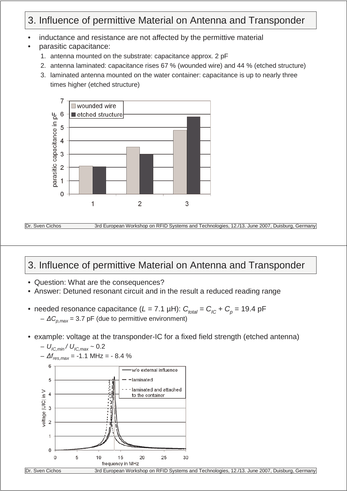# 3. Influence of permittive Material on Antenna and Transponder

- inductance and resistance are not affected by the permittive material
- parasitic capacitance:
	- 1. antenna mounted on the substrate: capacitance approx. 2 pF
	- 2. antenna laminated: capacitance rises 67 % (wounded wire) and 44 % (etched structure)
	- 3. laminated antenna mounted on the water container: capacitance is up to nearly three times higher (etched structure)





Dr. Sven Cichos 3rd European Workshop on RFID Systems and Technologies, 12./13. June 2007, Duisburg, Germany

### 3. Influence of permittive Material on Antenna and Transponder

- Question: What are the consequences?
- Answer: Detuned resonant circuit and in the result a reduced reading range
- needed resonance capacitance  $(L = 7.1 \mu H)$ :  $C_{total} = C_{IC} + C_p = 19.4 \mu H$  $-\Delta C_{p,max} = 3.7$  pF (due to permittive environment)
- example: voltage at the transponder-IC for a fixed field strength (etched antenna)

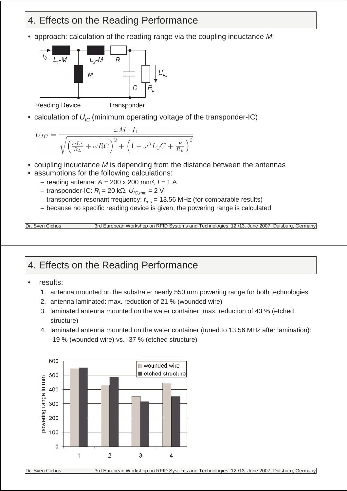### 4. Effects on the Reading Performance

• approach: calculation of the reading range via the coupling inductance  $M$ :



• calculation of  $U_{\text{IC}}$  (minimum operating voltage of the transponder-IC)

$$
U_{IC} = \frac{\omega M \cdot I_1}{\sqrt{\left(\frac{\omega L_2}{R_L} + \omega RC\right)^2 + \left(1 - \omega^2 L_2 C + \frac{R}{R_L}\right)^2}}
$$

- coupling inductance  $M$  is depending from the distance between the antennas
- assumptions for the following calculations:
	- reading antenna:  $A = 200 \times 200$  mm<sup>2</sup>,  $I = 1$  A
	- transponder-IC:  $R_l$  = 20 kΩ,  $U_{lC,min}$  = 2 V
	- $-$  transponder resonant frequency:  $f_{res}$  = 13.56 MHz (for comparable results)
	- because no specific reading device is given, the powering range is calculated

Dr. Sven Cichos 3rd European Workshop on RFID Systems and Technologies, 12./13. June 2007, Duisburg, Germany

# 4. Effects on the Reading Performance

- results:
	- 1. antenna mounted on the substrate: nearly 550 mm powering range for both technologies
	- 2. antenna laminated: max. reduction of 21 % (wounded wire)
	- 3. laminated antenna mounted on the water container: max. reduction of 43 % (etched structure)
	- 4. laminated antenna mounted on the water container (tuned to 13.56 MHz after lamination): -19 % (wounded wire) vs. -37 % (etched structure)